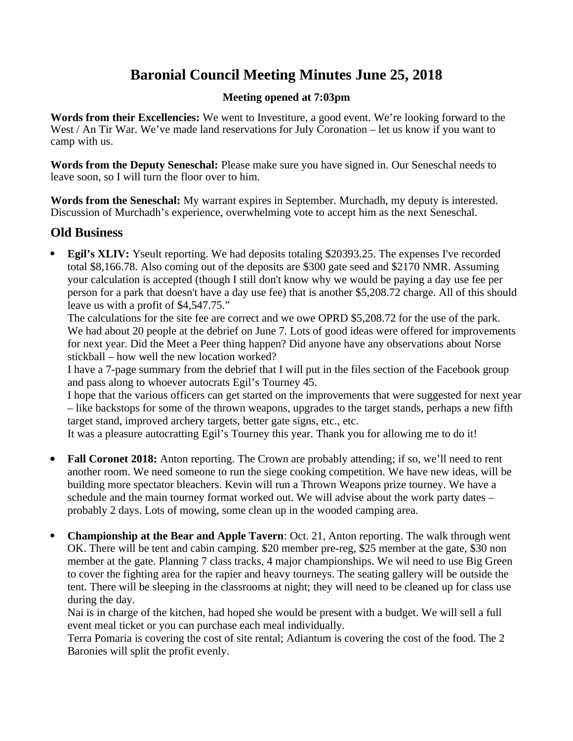# **Baronial Council Meeting Minutes June 25, 2018**

# **Meeting opened at 7:03pm**

**Words from their Excellencies:** We went to Investiture, a good event. We're looking forward to the West / An Tir War. We've made land reservations for July Coronation – let us know if you want to camp with us.

**Words from the Deputy Seneschal:** Please make sure you have signed in. Our Seneschal needs to leave soon, so I will turn the floor over to him.

**Words from the Seneschal:** My warrant expires in September. Murchadh, my deputy is interested. Discussion of Murchadh's experience, overwhelming vote to accept him as the next Seneschal.

# **Old Business**

 **Egil's XLIV:** Yseult reporting. We had deposits totaling \$20393.25. The expenses I've recorded total \$8,166.78. Also coming out of the deposits are \$300 gate seed and \$2170 NMR. Assuming your calculation is accepted (though I still don't know why we would be paying a day use fee per person for a park that doesn't have a day use fee) that is another \$5,208.72 charge. All of this should leave us with a profit of \$4,547.75."

The calculations for the site fee are correct and we owe OPRD \$5,208.72 for the use of the park. We had about 20 people at the debrief on June 7. Lots of good ideas were offered for improvements for next year. Did the Meet a Peer thing happen? Did anyone have any observations about Norse stickball – how well the new location worked?

I have a 7-page summary from the debrief that I will put in the files section of the Facebook group and pass along to whoever autocrats Egil's Tourney 45.

I hope that the various officers can get started on the improvements that were suggested for next year – like backstops for some of the thrown weapons, upgrades to the target stands, perhaps a new fifth target stand, improved archery targets, better gate signs, etc., etc.

It was a pleasure autocratting Egil's Tourney this year. Thank you for allowing me to do it!

- Fall Coronet 2018: Anton reporting. The Crown are probably attending; if so, we'll need to rent another room. We need someone to run the siege cooking competition. We have new ideas, will be building more spectator bleachers. Kevin will run a Thrown Weapons prize tourney. We have a schedule and the main tourney format worked out. We will advise about the work party dates – probably 2 days. Lots of mowing, some clean up in the wooded camping area.
- **Championship at the Bear and Apple Tavern**: Oct. 21, Anton reporting. The walk through went OK. There will be tent and cabin camping. \$20 member pre-reg, \$25 member at the gate, \$30 non member at the gate. Planning 7 class tracks, 4 major championships. We wil need to use Big Green to cover the fighting area for the rapier and heavy tourneys. The seating gallery will be outside the tent. There will be sleeping in the classrooms at night; they will need to be cleaned up for class use during the day.

Nai is in charge of the kitchen, had hoped she would be present with a budget. We will sell a full event meal ticket or you can purchase each meal individually.

Terra Pomaria is covering the cost of site rental; Adiantum is covering the cost of the food. The 2 Baronies will split the profit evenly.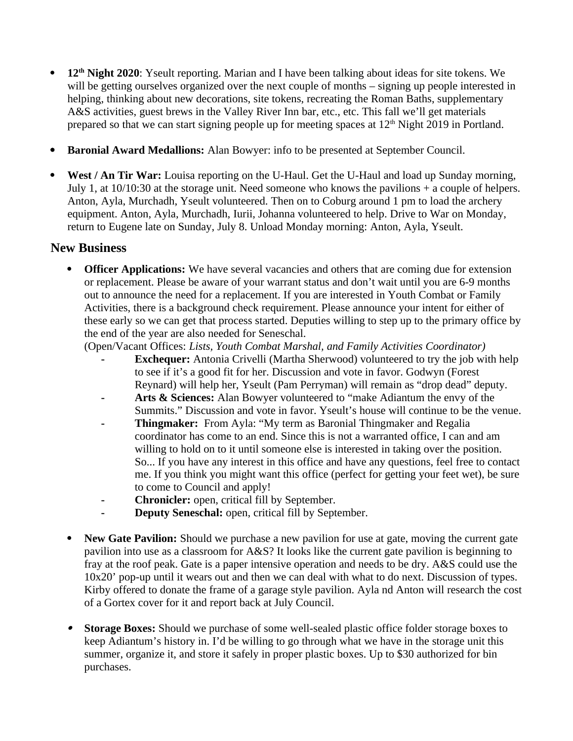- **12th Night 2020**: Yseult reporting. Marian and I have been talking about ideas for site tokens. We will be getting ourselves organized over the next couple of months – signing up people interested in helping, thinking about new decorations, site tokens, recreating the Roman Baths, supplementary A&S activities, guest brews in the Valley River Inn bar, etc., etc. This fall we'll get materials prepared so that we can start signing people up for meeting spaces at  $12<sup>th</sup>$  Night 2019 in Portland.
- **Baronial Award Medallions:** Alan Bowyer: info to be presented at September Council.
- **West / An Tir War:** Louisa reporting on the U-Haul. Get the U-Haul and load up Sunday morning, July 1, at 10/10:30 at the storage unit. Need someone who knows the pavilions + a couple of helpers. Anton, Ayla, Murchadh, Yseult volunteered. Then on to Coburg around 1 pm to load the archery equipment. Anton, Ayla, Murchadh, Iurii, Johanna volunteered to help. Drive to War on Monday, return to Eugene late on Sunday, July 8. Unload Monday morning: Anton, Ayla, Yseult.

# **New Business**

**Officer Applications:** We have several vacancies and others that are coming due for extension or replacement. Please be aware of your warrant status and don't wait until you are 6-9 months out to announce the need for a replacement. If you are interested in Youth Combat or Family Activities, there is a background check requirement. Please announce your intent for either of these early so we can get that process started. Deputies willing to step up to the primary office by the end of the year are also needed for Seneschal.

(Open/Vacant Offices: *Lists, Youth Combat Marshal, and Family Activities Coordinator)*

- **Exchequer:** Antonia Crivelli (Martha Sherwood) volunteered to try the job with help to see if it's a good fit for her. Discussion and vote in favor. Godwyn (Forest Reynard) will help her, Yseult (Pam Perryman) will remain as "drop dead" deputy.
- **- Arts & Sciences:** Alan Bowyer volunteered to "make Adiantum the envy of the Summits." Discussion and vote in favor. Yseult's house will continue to be the venue.
- **- Thingmaker:** From Ayla: "My term as Baronial Thingmaker and Regalia coordinator has come to an end. Since this is not a warranted office, I can and am willing to hold on to it until someone else is interested in taking over the position. So... If you have any interest in this office and have any questions, feel free to contact me. If you think you might want this office (perfect for getting your feet wet), be sure to come to Council and apply!
- **- Chronicler:** open, critical fill by September.
- **- Deputy Seneschal:** open, critical fill by September.
- **New Gate Pavilion:** Should we purchase a new pavilion for use at gate, moving the current gate pavilion into use as a classroom for A&S? It looks like the current gate pavilion is beginning to fray at the roof peak. Gate is a paper intensive operation and needs to be dry. A&S could use the 10x20' pop-up until it wears out and then we can deal with what to do next. Discussion of types. Kirby offered to donate the frame of a garage style pavilion. Ayla nd Anton will research the cost of a Gortex cover for it and report back at July Council.
- $\bullet$  **Storage Boxes:** Should we purchase of some well-sealed plastic office folder storage boxes to keep Adiantum's history in. I'd be willing to go through what we have in the storage unit this summer, organize it, and store it safely in proper plastic boxes. Up to \$30 authorized for bin purchases.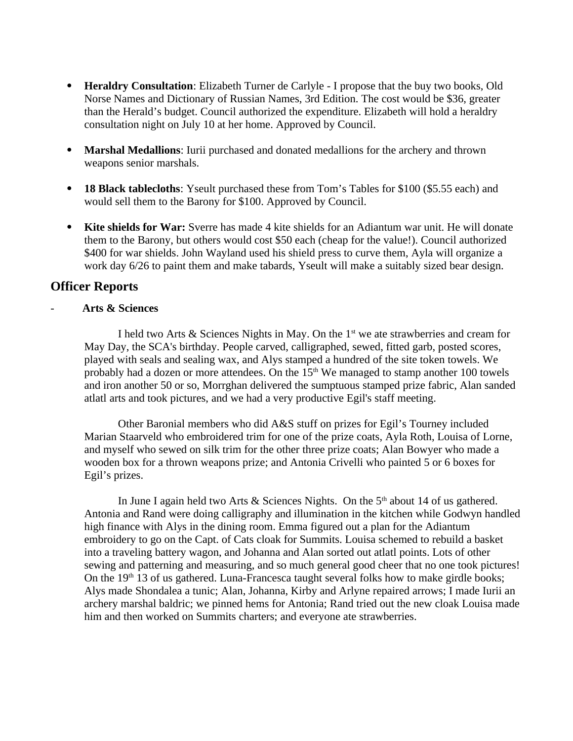- **Heraldry Consultation**: Elizabeth Turner de Carlyle I propose that the buy two books, Old Norse Names and Dictionary of Russian Names, 3rd Edition. The cost would be \$36, greater than the Herald's budget. Council authorized the expenditure. Elizabeth will hold a heraldry consultation night on July 10 at her home. Approved by Council.
- **Marshal Medallions**: Iurii purchased and donated medallions for the archery and thrown weapons senior marshals.
- **18 Black tablecloths**: Yseult purchased these from Tom's Tables for \$100 (\$5.55 each) and would sell them to the Barony for \$100. Approved by Council.
- **Kite shields for War:** Sverre has made 4 kite shields for an Adiantum war unit. He will donate them to the Barony, but others would cost \$50 each (cheap for the value!). Council authorized \$400 for war shields. John Wayland used his shield press to curve them, Ayla will organize a work day 6/26 to paint them and make tabards, Yseult will make a suitably sized bear design.

# **Officer Reports**

## - **Arts & Sciences**

I held two Arts & Sciences Nights in May. On the  $1<sup>st</sup>$  we ate strawberries and cream for May Day, the SCA's birthday. People carved, calligraphed, sewed, fitted garb, posted scores, played with seals and sealing wax, and Alys stamped a hundred of the site token towels. We probably had a dozen or more attendees. On the  $15<sup>th</sup>$  We managed to stamp another 100 towels and iron another 50 or so, Morrghan delivered the sumptuous stamped prize fabric, Alan sanded atlatl arts and took pictures, and we had a very productive Egil's staff meeting.

Other Baronial members who did A&S stuff on prizes for Egil's Tourney included Marian Staarveld who embroidered trim for one of the prize coats, Ayla Roth, Louisa of Lorne, and myself who sewed on silk trim for the other three prize coats; Alan Bowyer who made a wooden box for a thrown weapons prize; and Antonia Crivelli who painted 5 or 6 boxes for Egil's prizes.

In June I again held two Arts & Sciences Nights. On the  $5<sup>th</sup>$  about 14 of us gathered. Antonia and Rand were doing calligraphy and illumination in the kitchen while Godwyn handled high finance with Alys in the dining room. Emma figured out a plan for the Adiantum embroidery to go on the Capt. of Cats cloak for Summits. Louisa schemed to rebuild a basket into a traveling battery wagon, and Johanna and Alan sorted out atlatl points. Lots of other sewing and patterning and measuring, and so much general good cheer that no one took pictures! On the  $19<sup>th</sup> 13$  of us gathered. Luna-Francesca taught several folks how to make girdle books; Alys made Shondalea a tunic; Alan, Johanna, Kirby and Arlyne repaired arrows; I made Iurii an archery marshal baldric; we pinned hems for Antonia; Rand tried out the new cloak Louisa made him and then worked on Summits charters; and everyone ate strawberries.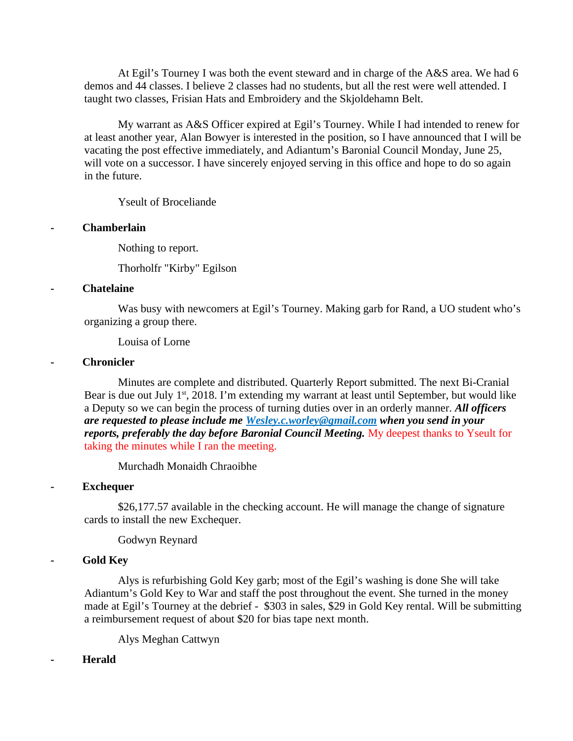At Egil's Tourney I was both the event steward and in charge of the A&S area. We had 6 demos and 44 classes. I believe 2 classes had no students, but all the rest were well attended. I taught two classes, Frisian Hats and Embroidery and the Skjoldehamn Belt.

My warrant as A&S Officer expired at Egil's Tourney. While I had intended to renew for at least another year, Alan Bowyer is interested in the position, so I have announced that I will be vacating the post effective immediately, and Adiantum's Baronial Council Monday, June 25, will vote on a successor. I have sincerely enjoyed serving in this office and hope to do so again in the future.

Yseult of Broceliande

#### **- Chamberlain**

Nothing to report.

Thorholfr "Kirby" Egilson

#### **- Chatelaine**

Was busy with newcomers at Egil's Tourney. Making garb for Rand, a UO student who's organizing a group there.

Louisa of Lorne

#### **- Chronicler**

Minutes are complete and distributed. Quarterly Report submitted. The next Bi-Cranial Bear is due out July 1<sup>st</sup>, 2018. I'm extending my warrant at least until September, but would like a Deputy so we can begin the process of turning duties over in an orderly manner. *All officers are requested to please include me [Wesley.c.worley@gmail.com](mailto:Wesley.c.worley@gmail.com) when you send in your reports, preferably the day before Baronial Council Meeting. My deepest thanks to Yseult for* taking the minutes while I ran the meeting.

Murchadh Monaidh Chraoibhe

#### **- Exchequer**

\$26,177.57 available in the checking account. He will manage the change of signature cards to install the new Exchequer*.*

Godwyn Reynard

## **- Gold Key**

Alys is refurbishing Gold Key garb; most of the Egil's washing is done She will take Adiantum's Gold Key to War and staff the post throughout the event. She turned in the money made at Egil's Tourney at the debrief - \$303 in sales, \$29 in Gold Key rental. Will be submitting a reimbursement request of about \$20 for bias tape next month.

Alys Meghan Cattwyn

#### **- Herald**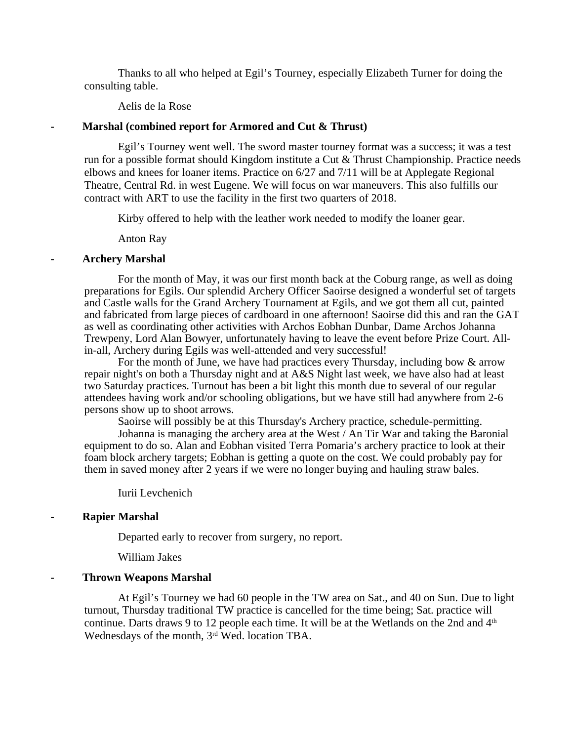Thanks to all who helped at Egil's Tourney, especially Elizabeth Turner for doing the consulting table.

Aelis de la Rose

#### **- Marshal (combined report for Armored and Cut & Thrust)**

Egil's Tourney went well. The sword master tourney format was a success; it was a test run for a possible format should Kingdom institute a Cut & Thrust Championship. Practice needs elbows and knees for loaner items. Practice on 6/27 and 7/11 will be at Applegate Regional Theatre, Central Rd. in west Eugene. We will focus on war maneuvers. This also fulfills our contract with ART to use the facility in the first two quarters of 2018.

Kirby offered to help with the leather work needed to modify the loaner gear.

Anton Ray

#### **- Archery Marshal**

For the month of May, it was our first month back at the Coburg range, as well as doing preparations for Egils. Our splendid Archery Officer Saoirse designed a wonderful set of targets and Castle walls for the Grand Archery Tournament at Egils, and we got them all cut, painted and fabricated from large pieces of cardboard in one afternoon! Saoirse did this and ran the GAT as well as coordinating other activities with Archos Eobhan Dunbar, Dame Archos Johanna Trewpeny, Lord Alan Bowyer, unfortunately having to leave the event before Prize Court. Allin-all, Archery during Egils was well-attended and very successful!

For the month of June, we have had practices every Thursday, including bow & arrow repair night's on both a Thursday night and at A&S Night last week, we have also had at least two Saturday practices. Turnout has been a bit light this month due to several of our regular attendees having work and/or schooling obligations, but we have still had anywhere from 2-6 persons show up to shoot arrows.

Saoirse will possibly be at this Thursday's Archery practice, schedule-permitting.

Johanna is managing the archery area at the West / An Tir War and taking the Baronial equipment to do so. Alan and Eobhan visited Terra Pomaria's archery practice to look at their foam block archery targets; Eobhan is getting a quote on the cost. We could probably pay for them in saved money after 2 years if we were no longer buying and hauling straw bales.

Iurii Levchenich

#### **- Rapier Marshal**

Departed early to recover from surgery, no report.

William Jakes

#### **- Thrown Weapons Marshal**

At Egil's Tourney we had 60 people in the TW area on Sat., and 40 on Sun. Due to light turnout, Thursday traditional TW practice is cancelled for the time being; Sat. practice will continue. Darts draws 9 to 12 people each time. It will be at the Wetlands on the 2nd and  $4<sup>th</sup>$ Wednesdays of the month, 3<sup>rd</sup> Wed. location TBA.